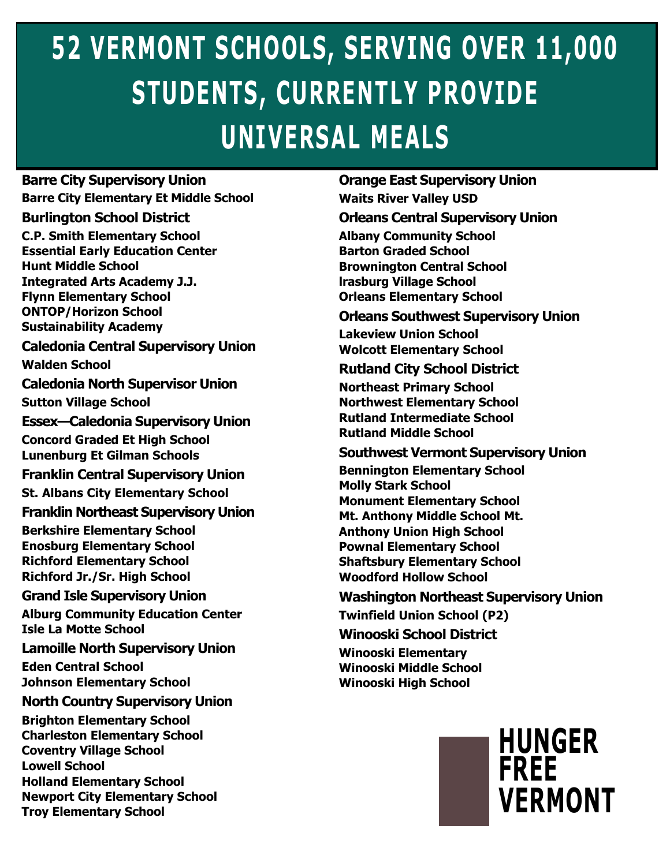# **52 VERMONT SCHOOLS, SERVING OVER 11,000 STUDENTS, CURRENTLY PROVIDE UNIVERSAL MEALS**

**Barre City Supervisory Union Barre City Elementary Et Middle School**

#### **Burlington School District**

**C.P. Smith Elementary School Essential Early Education Center Hunt Middle School Integrated Arts Academy J.J.** 

**Flynn Elementary School ONTOP/Horizon School Sustainability Academy**

**Caledonia Central Supervisory Union Walden School**

**Caledonia North Supervisor Union Sutton Village School**

**Essex—Caledonia Supervisory Union Concord Graded Et High School** 

**Lunenburg Et Gilman Schools**

**Franklin Central Supervisory Union St. Albans City Elementary School**

**Franklin Northeast Supervisory Union**

**Berkshire Elementary School Enosburg Elementary School Richford Elementary School Richford Jr./Sr. High School**

**Grand Isle Supervisory Union**

**Alburg Community Education Center Isle La Motte School**

**Lamoille North Supervisory Union**

**Eden Central School Johnson Elementary School**

**North Country Supervisory Union**

**Brighton Elementary School Charleston Elementary School Coventry Village School Lowell School Holland Elementary School Newport City Elementary School Troy Elementary School**

**Orange East Supervisory Union Waits River Valley USD**

**Orleans Central Supervisory Union Albany Community School Barton Graded School Brownington Central School lrasburg Village School Orleans Elementary School**

**Orleans Southwest Supervisory Union Lakeview Union School Wolcott Elementary School**

#### **Rutland City School District**

**Northeast Primary School Northwest Elementary School Rutland Intermediate School Rutland Middle School**

#### **Southwest Vermont Supervisory Union**

**Bennington Elementary School Molly Stark School Monument Elementary School Mt. Anthony Middle School Mt. Anthony Union High School Pownal Elementary School Shaftsbury Elementary School Woodford Hollow School**

#### **Washington Northeast Supervisory Union**

**Twinfield Union School (P2)**

**Winooski School District**

**Winooski Elementary Winooski Middle School Winooski High School**